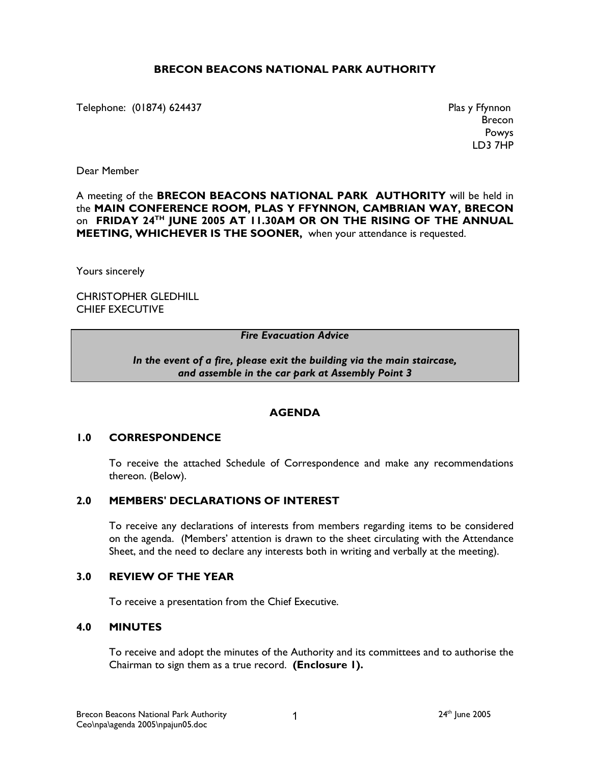### BRECON BEACONS NATIONAL PARK AUTHORITY

Telephone: (01874) 624437 **Plas y Ffynnon** 

Brecon Powys LD3 7HP

Dear Member

### A meeting of the BRECON BEACONS NATIONAL PARK AUTHORITY will be held in the MAIN CONFERENCE ROOM, PLAS Y FFYNNON, CAMBRIAN WAY, BRECON on FRIDAY 24<sup>TH</sup> JUNE 2005 AT 11.30AM OR ON THE RISING OF THE ANNUAL MEETING, WHICHEVER IS THE SOONER, when your attendance is requested.

Yours sincerely

CHRISTOPHER GLEDHILL CHIEF EXECUTIVE

### Fire Evacuation Advice

#### In the event of a fire, please exit the building via the main staircase, and assemble in the car park at Assembly Point 3

#### **AGENDA**

#### 1.0 CORRESPONDENCE

 To receive the attached Schedule of Correspondence and make any recommendations thereon. (Below).

### 2.0 MEMBERS' DECLARATIONS OF INTEREST

 To receive any declarations of interests from members regarding items to be considered on the agenda. (Members' attention is drawn to the sheet circulating with the Attendance Sheet, and the need to declare any interests both in writing and verbally at the meeting).

#### 3.0 REVIEW OF THE YEAR

To receive a presentation from the Chief Executive.

#### 4.0 MINUTES

 To receive and adopt the minutes of the Authority and its committees and to authorise the Chairman to sign them as a true record. (Enclosure 1).